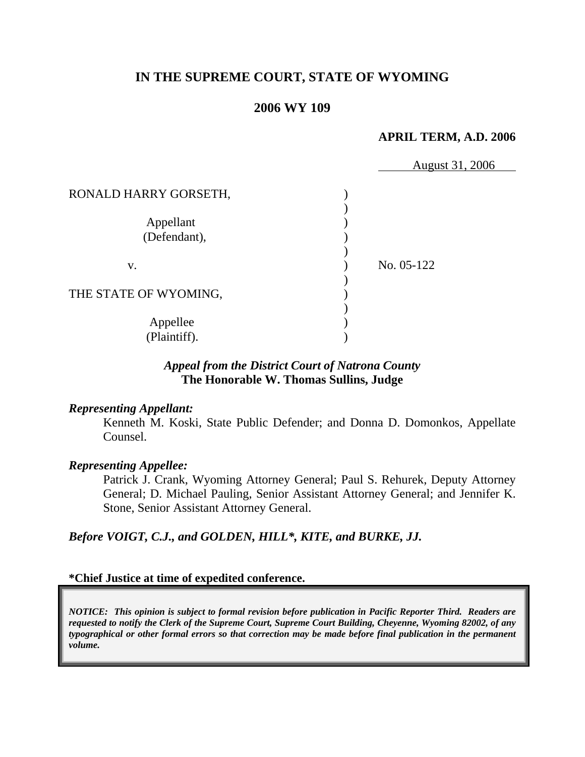# **IN THE SUPREME COURT, STATE OF WYOMING**

### **2006 WY 109**

### **APRIL TERM, A.D. 2006**

|                       | August 31, 2006 |
|-----------------------|-----------------|
| RONALD HARRY GORSETH, |                 |
|                       |                 |
| Appellant             |                 |
| (Defendant),          |                 |
|                       |                 |
| V.                    | No. 05-122      |
|                       |                 |
| THE STATE OF WYOMING, |                 |
|                       |                 |
| Appellee              |                 |
| (Plaintiff).          |                 |

### *Appeal from the District Court of Natrona County* **The Honorable W. Thomas Sullins, Judge**

#### *Representing Appellant:*

Kenneth M. Koski, State Public Defender; and Donna D. Domonkos, Appellate Counsel.

#### *Representing Appellee:*

Patrick J. Crank, Wyoming Attorney General; Paul S. Rehurek, Deputy Attorney General; D. Michael Pauling, Senior Assistant Attorney General; and Jennifer K. Stone, Senior Assistant Attorney General.

*Before VOIGT, C.J., and GOLDEN, HILL\*, KITE, and BURKE, JJ.* 

#### **\*Chief Justice at time of expedited conference.**

*NOTICE: This opinion is subject to formal revision before publication in Pacific Reporter Third. Readers are requested to notify the Clerk of the Supreme Court, Supreme Court Building, Cheyenne, Wyoming 82002, of any typographical or other formal errors so that correction may be made before final publication in the permanent volume.*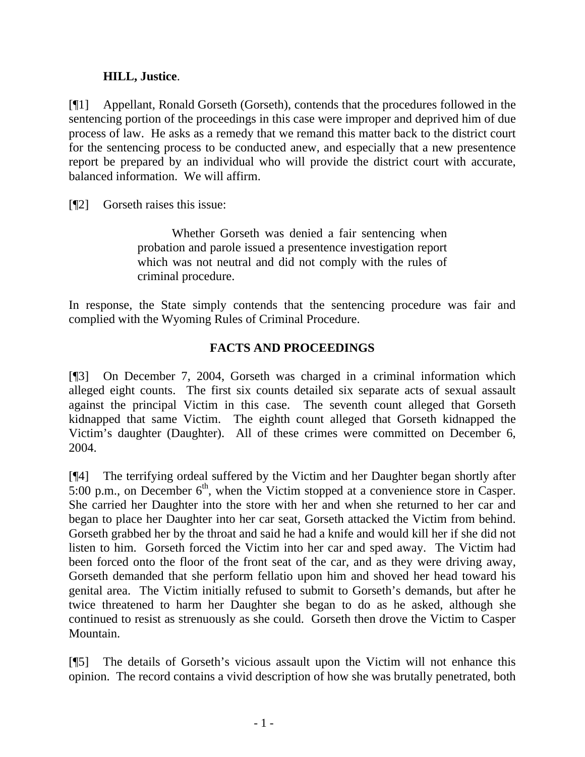# **HILL, Justice**.

[¶1] Appellant, Ronald Gorseth (Gorseth), contends that the procedures followed in the sentencing portion of the proceedings in this case were improper and deprived him of due process of law. He asks as a remedy that we remand this matter back to the district court for the sentencing process to be conducted anew, and especially that a new presentence report be prepared by an individual who will provide the district court with accurate, balanced information. We will affirm.

[¶2] Gorseth raises this issue:

 Whether Gorseth was denied a fair sentencing when probation and parole issued a presentence investigation report which was not neutral and did not comply with the rules of criminal procedure.

In response, the State simply contends that the sentencing procedure was fair and complied with the Wyoming Rules of Criminal Procedure.

# **FACTS AND PROCEEDINGS**

[¶3] On December 7, 2004, Gorseth was charged in a criminal information which alleged eight counts. The first six counts detailed six separate acts of sexual assault against the principal Victim in this case. The seventh count alleged that Gorseth kidnapped that same Victim. The eighth count alleged that Gorseth kidnapped the Victim's daughter (Daughter). All of these crimes were committed on December 6, 2004.

[¶4] The terrifying ordeal suffered by the Victim and her Daughter began shortly after  $5:00$  p.m., on December  $6<sup>th</sup>$ , when the Victim stopped at a convenience store in Casper. She carried her Daughter into the store with her and when she returned to her car and began to place her Daughter into her car seat, Gorseth attacked the Victim from behind. Gorseth grabbed her by the throat and said he had a knife and would kill her if she did not listen to him. Gorseth forced the Victim into her car and sped away. The Victim had been forced onto the floor of the front seat of the car, and as they were driving away, Gorseth demanded that she perform fellatio upon him and shoved her head toward his genital area. The Victim initially refused to submit to Gorseth's demands, but after he twice threatened to harm her Daughter she began to do as he asked, although she continued to resist as strenuously as she could. Gorseth then drove the Victim to Casper Mountain.

[¶5] The details of Gorseth's vicious assault upon the Victim will not enhance this opinion. The record contains a vivid description of how she was brutally penetrated, both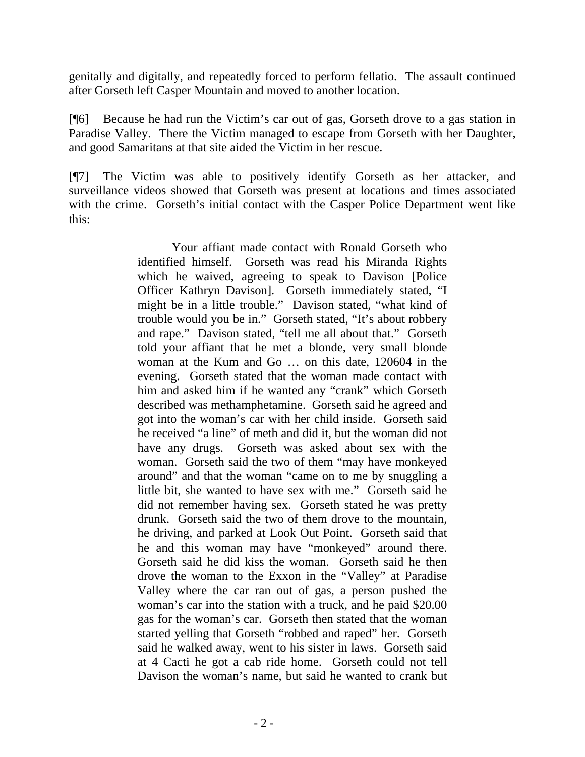genitally and digitally, and repeatedly forced to perform fellatio. The assault continued after Gorseth left Casper Mountain and moved to another location.

[¶6] Because he had run the Victim's car out of gas, Gorseth drove to a gas station in Paradise Valley. There the Victim managed to escape from Gorseth with her Daughter, and good Samaritans at that site aided the Victim in her rescue.

[¶7] The Victim was able to positively identify Gorseth as her attacker, and surveillance videos showed that Gorseth was present at locations and times associated with the crime. Gorseth's initial contact with the Casper Police Department went like this:

> Your affiant made contact with Ronald Gorseth who identified himself. Gorseth was read his Miranda Rights which he waived, agreeing to speak to Davison [Police Officer Kathryn Davison]. Gorseth immediately stated, "I might be in a little trouble." Davison stated, "what kind of trouble would you be in." Gorseth stated, "It's about robbery and rape." Davison stated, "tell me all about that." Gorseth told your affiant that he met a blonde, very small blonde woman at the Kum and Go … on this date, 120604 in the evening. Gorseth stated that the woman made contact with him and asked him if he wanted any "crank" which Gorseth described was methamphetamine. Gorseth said he agreed and got into the woman's car with her child inside. Gorseth said he received "a line" of meth and did it, but the woman did not have any drugs. Gorseth was asked about sex with the woman. Gorseth said the two of them "may have monkeyed around" and that the woman "came on to me by snuggling a little bit, she wanted to have sex with me." Gorseth said he did not remember having sex. Gorseth stated he was pretty drunk. Gorseth said the two of them drove to the mountain, he driving, and parked at Look Out Point. Gorseth said that he and this woman may have "monkeyed" around there. Gorseth said he did kiss the woman. Gorseth said he then drove the woman to the Exxon in the "Valley" at Paradise Valley where the car ran out of gas, a person pushed the woman's car into the station with a truck, and he paid \$20.00 gas for the woman's car. Gorseth then stated that the woman started yelling that Gorseth "robbed and raped" her. Gorseth said he walked away, went to his sister in laws. Gorseth said at 4 Cacti he got a cab ride home. Gorseth could not tell Davison the woman's name, but said he wanted to crank but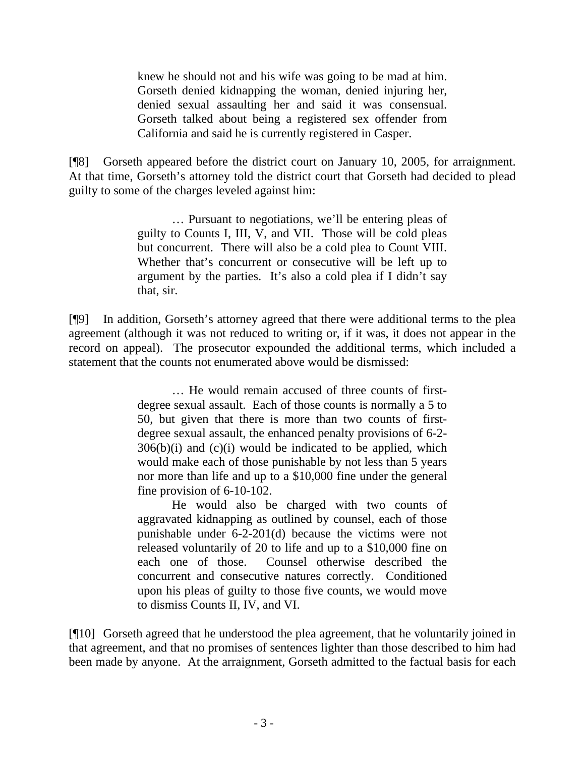knew he should not and his wife was going to be mad at him. Gorseth denied kidnapping the woman, denied injuring her, denied sexual assaulting her and said it was consensual. Gorseth talked about being a registered sex offender from California and said he is currently registered in Casper.

[¶8] Gorseth appeared before the district court on January 10, 2005, for arraignment. At that time, Gorseth's attorney told the district court that Gorseth had decided to plead guilty to some of the charges leveled against him:

> … Pursuant to negotiations, we'll be entering pleas of guilty to Counts I, III, V, and VII. Those will be cold pleas but concurrent. There will also be a cold plea to Count VIII. Whether that's concurrent or consecutive will be left up to argument by the parties. It's also a cold plea if I didn't say that, sir.

[¶9] In addition, Gorseth's attorney agreed that there were additional terms to the plea agreement (although it was not reduced to writing or, if it was, it does not appear in the record on appeal). The prosecutor expounded the additional terms, which included a statement that the counts not enumerated above would be dismissed:

> … He would remain accused of three counts of firstdegree sexual assault. Each of those counts is normally a 5 to 50, but given that there is more than two counts of firstdegree sexual assault, the enhanced penalty provisions of 6-2-  $306(b)(i)$  and  $(c)(i)$  would be indicated to be applied, which would make each of those punishable by not less than 5 years nor more than life and up to a \$10,000 fine under the general fine provision of 6-10-102.

> He would also be charged with two counts of aggravated kidnapping as outlined by counsel, each of those punishable under 6-2-201(d) because the victims were not released voluntarily of 20 to life and up to a \$10,000 fine on each one of those. Counsel otherwise described the concurrent and consecutive natures correctly. Conditioned upon his pleas of guilty to those five counts, we would move to dismiss Counts II, IV, and VI.

[¶10] Gorseth agreed that he understood the plea agreement, that he voluntarily joined in that agreement, and that no promises of sentences lighter than those described to him had been made by anyone. At the arraignment, Gorseth admitted to the factual basis for each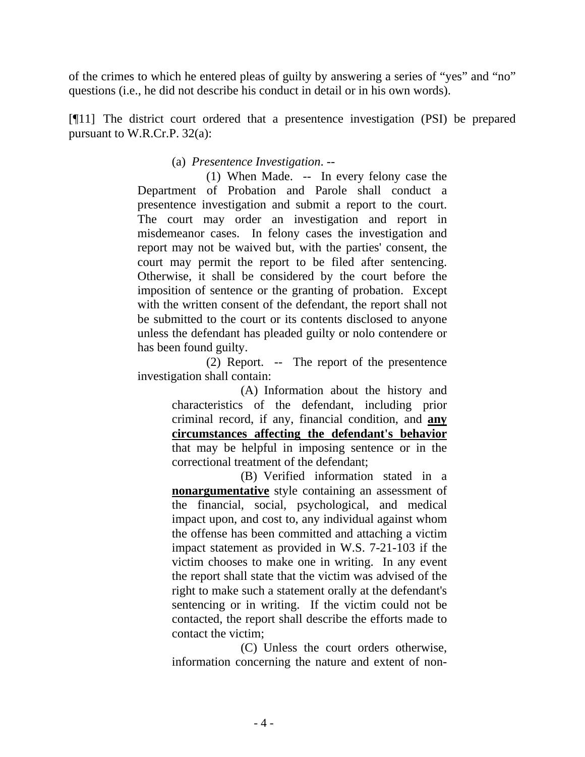of the crimes to which he entered pleas of guilty by answering a series of "yes" and "no" questions (i.e., he did not describe his conduct in detail or in his own words).

[¶11] The district court ordered that a presentence investigation (PSI) be prepared pursuant to W.R.Cr.P. 32(a):

## (a) *Presentence Investigation*. --

 (1) When Made. -- In every felony case the Department of Probation and Parole shall conduct a presentence investigation and submit a report to the court. The court may order an investigation and report in misdemeanor cases. In felony cases the investigation and report may not be waived but, with the parties' consent, the court may permit the report to be filed after sentencing. Otherwise, it shall be considered by the court before the imposition of sentence or the granting of probation. Except with the written consent of the defendant, the report shall not be submitted to the court or its contents disclosed to anyone unless the defendant has pleaded guilty or nolo contendere or has been found guilty.

 (2) Report. -- The report of the presentence investigation shall contain:

(A) Information about the history and characteristics of the defendant, including prior criminal record, if any, financial condition, and **any circumstances affecting the defendant's behavior** that may be helpful in imposing sentence or in the correctional treatment of the defendant;

(B) Verified information stated in a **nonargumentative** style containing an assessment of the financial, social, psychological, and medical impact upon, and cost to, any individual against whom the offense has been committed and attaching a victim impact statement as provided in W.S. 7-21-103 if the victim chooses to make one in writing. In any event the report shall state that the victim was advised of the right to make such a statement orally at the defendant's sentencing or in writing. If the victim could not be contacted, the report shall describe the efforts made to contact the victim;

(C) Unless the court orders otherwise, information concerning the nature and extent of non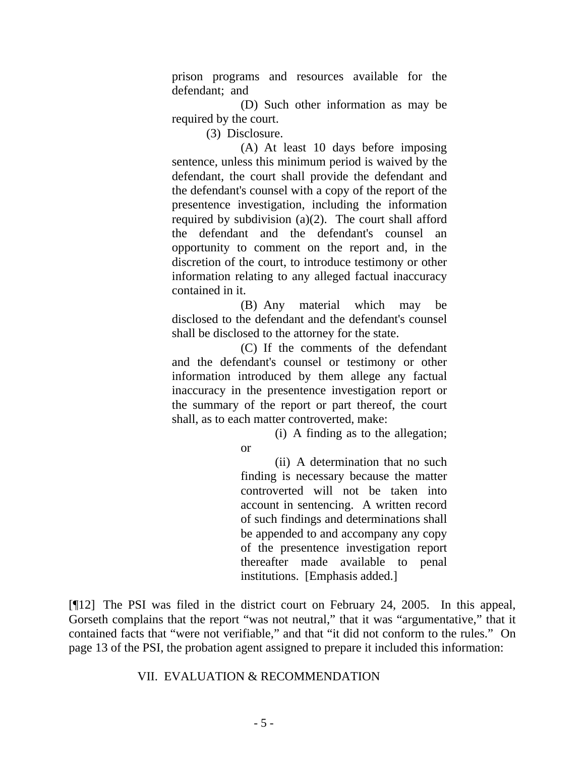prison programs and resources available for the defendant; and

(D) Such other information as may be required by the court.

(3) Disclosure.

(A) At least 10 days before imposing sentence, unless this minimum period is waived by the defendant, the court shall provide the defendant and the defendant's counsel with a copy of the report of the presentence investigation, including the information required by subdivision  $(a)(2)$ . The court shall afford the defendant and the defendant's counsel an opportunity to comment on the report and, in the discretion of the court, to introduce testimony or other information relating to any alleged factual inaccuracy contained in it.

(B) Any material which may be disclosed to the defendant and the defendant's counsel shall be disclosed to the attorney for the state.

(C) If the comments of the defendant and the defendant's counsel or testimony or other information introduced by them allege any factual inaccuracy in the presentence investigation report or the summary of the report or part thereof, the court shall, as to each matter controverted, make:

(i) A finding as to the allegation;

or

(ii) A determination that no such finding is necessary because the matter controverted will not be taken into account in sentencing. A written record of such findings and determinations shall be appended to and accompany any copy of the presentence investigation report thereafter made available to penal institutions. [Emphasis added.]

[¶12] The PSI was filed in the district court on February 24, 2005. In this appeal, Gorseth complains that the report "was not neutral," that it was "argumentative," that it contained facts that "were not verifiable," and that "it did not conform to the rules." On page 13 of the PSI, the probation agent assigned to prepare it included this information:

### VII. EVALUATION & RECOMMENDATION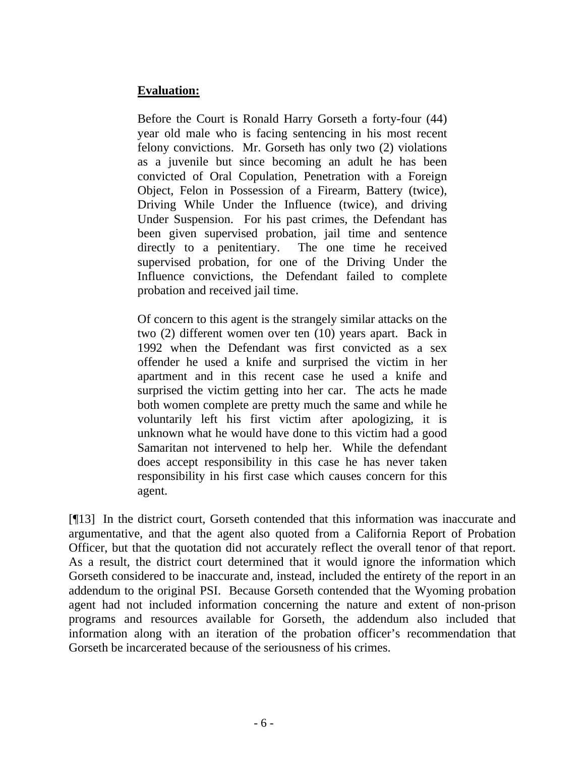# **Evaluation:**

Before the Court is Ronald Harry Gorseth a forty-four (44) year old male who is facing sentencing in his most recent felony convictions. Mr. Gorseth has only two (2) violations as a juvenile but since becoming an adult he has been convicted of Oral Copulation, Penetration with a Foreign Object, Felon in Possession of a Firearm, Battery (twice), Driving While Under the Influence (twice), and driving Under Suspension. For his past crimes, the Defendant has been given supervised probation, jail time and sentence directly to a penitentiary. The one time he received supervised probation, for one of the Driving Under the Influence convictions, the Defendant failed to complete probation and received jail time.

Of concern to this agent is the strangely similar attacks on the two (2) different women over ten (10) years apart. Back in 1992 when the Defendant was first convicted as a sex offender he used a knife and surprised the victim in her apartment and in this recent case he used a knife and surprised the victim getting into her car. The acts he made both women complete are pretty much the same and while he voluntarily left his first victim after apologizing, it is unknown what he would have done to this victim had a good Samaritan not intervened to help her. While the defendant does accept responsibility in this case he has never taken responsibility in his first case which causes concern for this agent.

[¶13] In the district court, Gorseth contended that this information was inaccurate and argumentative, and that the agent also quoted from a California Report of Probation Officer, but that the quotation did not accurately reflect the overall tenor of that report. As a result, the district court determined that it would ignore the information which Gorseth considered to be inaccurate and, instead, included the entirety of the report in an addendum to the original PSI. Because Gorseth contended that the Wyoming probation agent had not included information concerning the nature and extent of non-prison programs and resources available for Gorseth, the addendum also included that information along with an iteration of the probation officer's recommendation that Gorseth be incarcerated because of the seriousness of his crimes.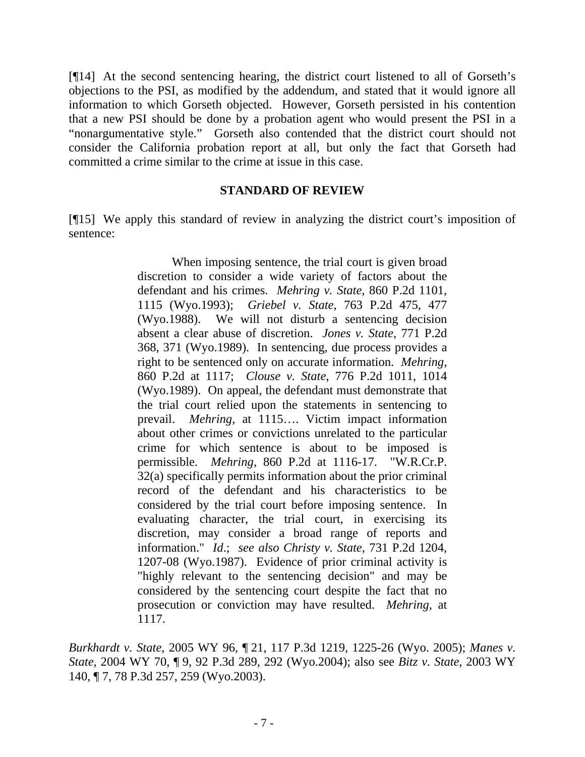[¶14] At the second sentencing hearing, the district court listened to all of Gorseth's objections to the PSI, as modified by the addendum, and stated that it would ignore all information to which Gorseth objected. However, Gorseth persisted in his contention that a new PSI should be done by a probation agent who would present the PSI in a "nonargumentative style." Gorseth also contended that the district court should not consider the California probation report at all, but only the fact that Gorseth had committed a crime similar to the crime at issue in this case.

### **STANDARD OF REVIEW**

[¶15] We apply this standard of review in analyzing the district court's imposition of sentence:

> When imposing sentence, the trial court is given broad discretion to consider a wide variety of factors about the defendant and his crimes. *Mehring v. State*, 860 P.2d 1101, 1115 (Wyo.1993); *Griebel v. State*, 763 P.2d 475, 477 (Wyo.1988). We will not disturb a sentencing decision absent a clear abuse of discretion. *Jones v. State*, 771 P.2d 368, 371 (Wyo.1989). In sentencing, due process provides a right to be sentenced only on accurate information. *Mehring*, 860 P.2d at 1117; *Clouse v. State*, 776 P.2d 1011, 1014 (Wyo.1989). On appeal, the defendant must demonstrate that the trial court relied upon the statements in sentencing to prevail. *Mehring*, at 1115…. Victim impact information about other crimes or convictions unrelated to the particular crime for which sentence is about to be imposed is permissible. *Mehring*, 860 P.2d at 1116-17. "W.R.Cr.P. 32(a) specifically permits information about the prior criminal record of the defendant and his characteristics to be considered by the trial court before imposing sentence. In evaluating character, the trial court, in exercising its discretion, may consider a broad range of reports and information." *Id*.; *see also Christy v. State*, 731 P.2d 1204, 1207-08 (Wyo.1987). Evidence of prior criminal activity is "highly relevant to the sentencing decision" and may be considered by the sentencing court despite the fact that no prosecution or conviction may have resulted. *Mehring*, at 1117.

*Burkhardt v. State*, 2005 WY 96, ¶ 21, 117 P.3d 1219, 1225-26 (Wyo. 2005); *Manes v. State*, 2004 WY 70, ¶ 9, 92 P.3d 289, 292 (Wyo.2004); also see *Bitz v. State*, 2003 WY 140, ¶ 7, 78 P.3d 257, 259 (Wyo.2003).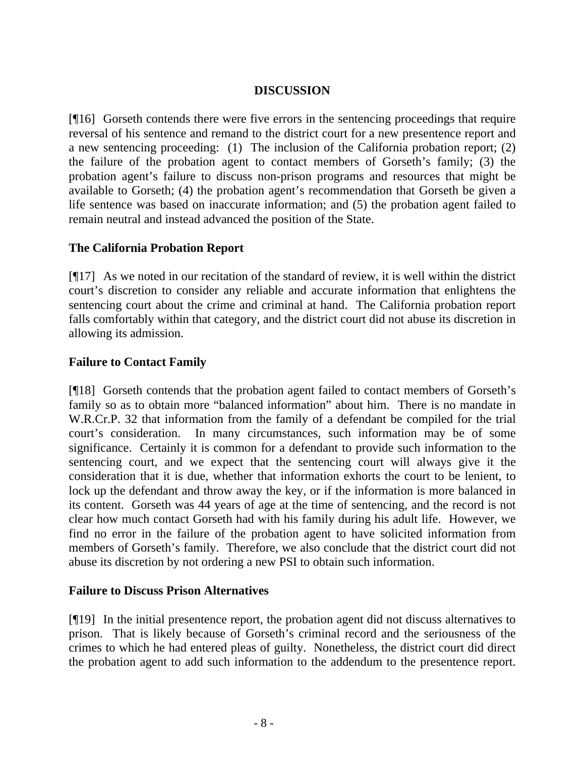# **DISCUSSION**

[¶16] Gorseth contends there were five errors in the sentencing proceedings that require reversal of his sentence and remand to the district court for a new presentence report and a new sentencing proceeding: (1) The inclusion of the California probation report; (2) the failure of the probation agent to contact members of Gorseth's family; (3) the probation agent's failure to discuss non-prison programs and resources that might be available to Gorseth; (4) the probation agent's recommendation that Gorseth be given a life sentence was based on inaccurate information; and (5) the probation agent failed to remain neutral and instead advanced the position of the State.

## **The California Probation Report**

[¶17] As we noted in our recitation of the standard of review, it is well within the district court's discretion to consider any reliable and accurate information that enlightens the sentencing court about the crime and criminal at hand. The California probation report falls comfortably within that category, and the district court did not abuse its discretion in allowing its admission.

# **Failure to Contact Family**

[¶18] Gorseth contends that the probation agent failed to contact members of Gorseth's family so as to obtain more "balanced information" about him. There is no mandate in W.R.Cr.P. 32 that information from the family of a defendant be compiled for the trial court's consideration. In many circumstances, such information may be of some significance. Certainly it is common for a defendant to provide such information to the sentencing court, and we expect that the sentencing court will always give it the consideration that it is due, whether that information exhorts the court to be lenient, to lock up the defendant and throw away the key, or if the information is more balanced in its content. Gorseth was 44 years of age at the time of sentencing, and the record is not clear how much contact Gorseth had with his family during his adult life. However, we find no error in the failure of the probation agent to have solicited information from members of Gorseth's family. Therefore, we also conclude that the district court did not abuse its discretion by not ordering a new PSI to obtain such information.

## **Failure to Discuss Prison Alternatives**

[¶19] In the initial presentence report, the probation agent did not discuss alternatives to prison. That is likely because of Gorseth's criminal record and the seriousness of the crimes to which he had entered pleas of guilty. Nonetheless, the district court did direct the probation agent to add such information to the addendum to the presentence report.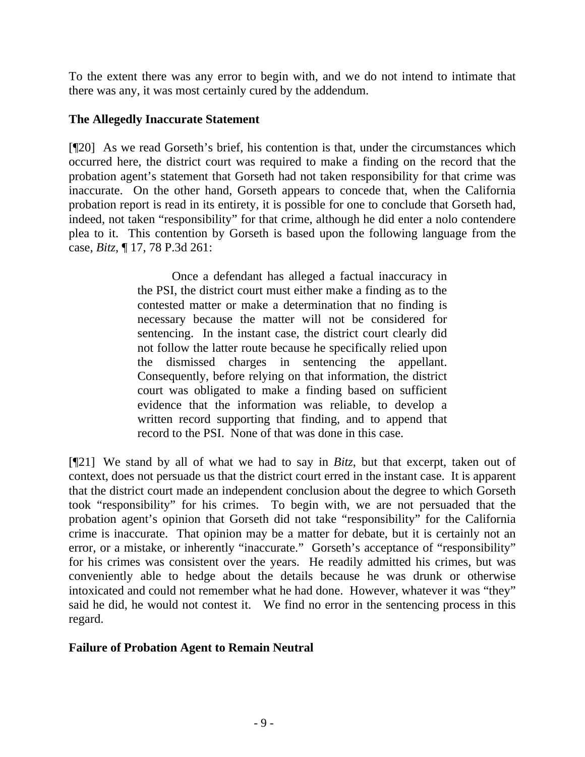To the extent there was any error to begin with, and we do not intend to intimate that there was any, it was most certainly cured by the addendum.

### **The Allegedly Inaccurate Statement**

[¶20] As we read Gorseth's brief, his contention is that, under the circumstances which occurred here, the district court was required to make a finding on the record that the probation agent's statement that Gorseth had not taken responsibility for that crime was inaccurate. On the other hand, Gorseth appears to concede that, when the California probation report is read in its entirety, it is possible for one to conclude that Gorseth had, indeed, not taken "responsibility" for that crime, although he did enter a nolo contendere plea to it. This contention by Gorseth is based upon the following language from the case, *Bitz*, ¶ 17, 78 P.3d 261:

> Once a defendant has alleged a factual inaccuracy in the PSI, the district court must either make a finding as to the contested matter or make a determination that no finding is necessary because the matter will not be considered for sentencing. In the instant case, the district court clearly did not follow the latter route because he specifically relied upon the dismissed charges in sentencing the appellant. Consequently, before relying on that information, the district court was obligated to make a finding based on sufficient evidence that the information was reliable, to develop a written record supporting that finding, and to append that record to the PSI. None of that was done in this case.

[¶21] We stand by all of what we had to say in *Bitz*, but that excerpt, taken out of context, does not persuade us that the district court erred in the instant case. It is apparent that the district court made an independent conclusion about the degree to which Gorseth took "responsibility" for his crimes. To begin with, we are not persuaded that the probation agent's opinion that Gorseth did not take "responsibility" for the California crime is inaccurate. That opinion may be a matter for debate, but it is certainly not an error, or a mistake, or inherently "inaccurate." Gorseth's acceptance of "responsibility" for his crimes was consistent over the years. He readily admitted his crimes, but was conveniently able to hedge about the details because he was drunk or otherwise intoxicated and could not remember what he had done. However, whatever it was "they" said he did, he would not contest it. We find no error in the sentencing process in this regard.

## **Failure of Probation Agent to Remain Neutral**